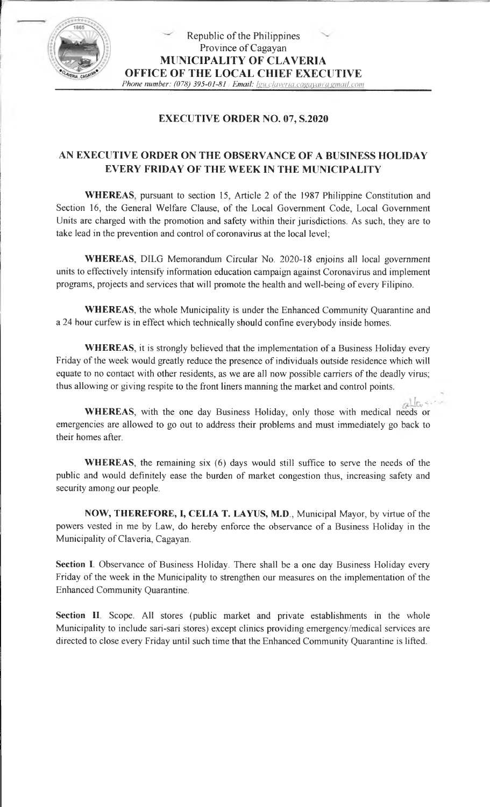

Republic of the Philippines Province of Cagayan **MUNICIPALITY OF CLAVERIA OFFICE OF THE LOCAL CHIEF EXECUTIVE**

## *Phone number: (078) 395-01-81 /Email: Igu.claveria.cagayan®,<gmail.com>*

## **EXECUTIVE ORDER NO. 07, S.2020**

## **AN EXECUTIVE ORDER ON THE OBSERVANCE OF A BUSINESS HOLIDAY EVERY FRIDAY OF THE WEEK IN THE MUNICIPALITY**

**WHEREAS,** pursuant to section 15, Article 2 of the 1987 Philippine Constitution and Section 16, the General Welfare Clause, of the Local Government Code, Local Government Units are charged with the promotion and safety within their jurisdictions. As such, they are to take lead in the prevention and control of coronavirus at the local level;

**WHEREAS,** DILG Memorandum Circular No. 2020-18 enjoins all local government units to effectively intensify information education campaign against Coronavirus and implement programs, projects and services that will promote the health and well-being of every Filipino.

**WHEREAS,** the whole Municipality is under the Enhanced Community Quarantine and a 24 hour curfew is in effect which technically should confine everybody inside homes.

**WHEREAS,** it is strongly believed that the implementation of a Business Holiday every Friday of the week would greatly reduce the presence of individuals outside residence which will equate to no contact with other residents, as we are all now possible carriers of the deadly virus; thus allowing or giving respite to the front liners manning the market and control points.

 $\mathbb{Z}$ lcus<sup>1</sup> **WHEREAS,** with the one day Business Holiday, only those with medical needs or emergencies are allowed to go out to address their problems and must immediately go back to their homes after.

**WHEREAS,** the remaining six (6) days would still suffice to serve the needs of the public and would definitely ease the burden of market congestion thus, increasing safety and security among our people.

**NOW, THEREFORE, I, CELIA T. LAYUS, M.D** , Municipal Mayor, by virtue of the powers vested in me by Law, do hereby enforce the observance of a Business Holiday in the Municipality of Claveria, Cagayan.

**Section I.** Observance of Business Holiday. There shall be a one day Business Holiday every Friday of the week in the Municipality to strengthen our measures on the implementation of the Enhanced Community Quarantine.

**Section II.** Scope. All stores (public market and private establishments in the whole Municipality to include sari-sari stores) except clinics providing emergency/medical services are directed to close every Friday until such time that the Enhanced Community Quarantine is lifted.